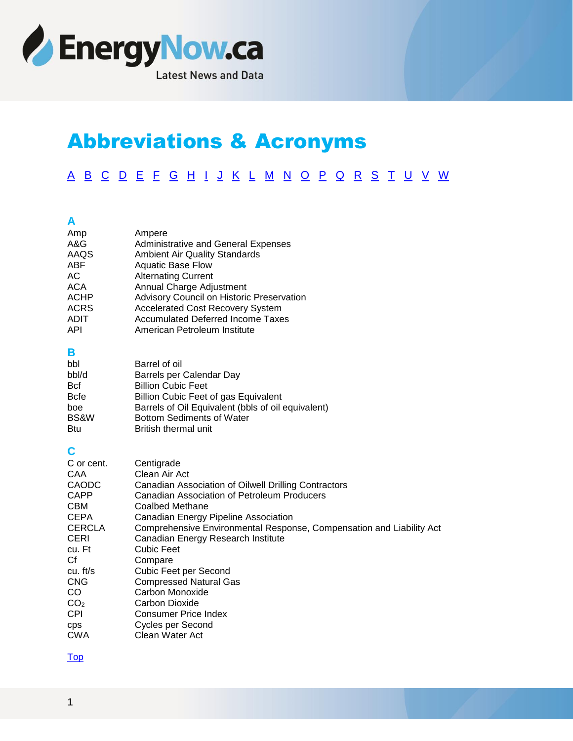

# <span id="page-0-3"></span>Abbreviations & Acronyms

# [A](#page-0-0) [B](#page-0-1) [C](#page-0-2) [D](#page-1-0) [E](#page-1-1) [F](#page-1-2) [G](#page-1-3) [H](#page-1-4) [I](#page-1-5) [J](#page-2-0) [K](#page-2-1) [L](#page-2-2) [M](#page-2-3) [N](#page-3-0) [O](#page-3-1) [P](#page-3-2) [Q](#page-3-3) [R](#page-3-4) [S](#page-3-5) [T](#page-4-0) [U](#page-4-1) [V](#page-4-2) [W](#page-4-3)

#### <span id="page-0-2"></span><span id="page-0-1"></span><span id="page-0-0"></span>**A** Amp Ampere A&G Administrative and General Expenses AAQS Ambient Air Quality Standards ABF Aquatic Base Flow AC Alternating Current ACA Annual Charge Adjustment ACHP Advisory Council on Historic Preservation ACRS Accelerated Cost Recovery System ADIT Accumulated Deferred Income Taxes API **American Petroleum Institute B** bbl **Barrel of oil** bbl/d Barrels per Calendar Day Bcf Billion Cubic Feet Bcfe Billion Cubic Feet of gas Equivalent boe Barrels of Oil Equivalent (bbls of oil equivalent) BS&W Bottom Sediments of Water Btu British thermal unit **C** C or cent. Centigrade CAA Clean Air Act CAODC Canadian Association of Oilwell Drilling Contractors<br>CAPP Canadian Association of Petroleum Producers **Canadian Association of Petroleum Producers** CBM Coalbed Methane CEPA Canadian Energy Pipeline Association Comprehensive Environmental Response, Compensation and Liability Act CERI Canadian Energy Research Institute cu. Ft Cubic Feet Cf Compare cu. ft/s Cubic Feet per Second CNG Compressed Natural Gas CO Carbon Monoxide CO<sub>2</sub> Carbon Dioxide CPI Consumer Price Index cps Cycles per Second CWA Clean Water Act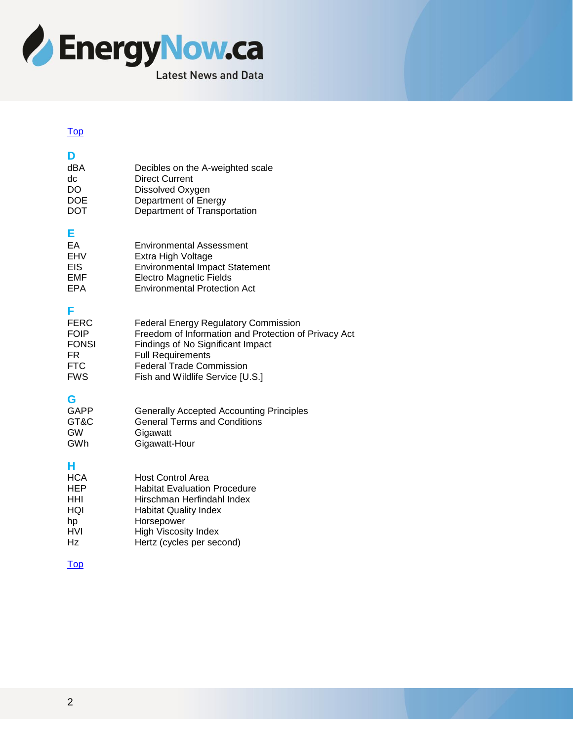

<span id="page-1-5"></span><span id="page-1-4"></span><span id="page-1-3"></span><span id="page-1-2"></span><span id="page-1-1"></span><span id="page-1-0"></span>

| D<br>dBA<br>dc<br>DO<br><b>DOE</b><br><b>DOT</b>                                   | Decibles on the A-weighted scale<br><b>Direct Current</b><br>Dissolved Oxygen<br>Department of Energy<br>Department of Transportation                                                                                                       |
|------------------------------------------------------------------------------------|---------------------------------------------------------------------------------------------------------------------------------------------------------------------------------------------------------------------------------------------|
| Е<br>ЕA<br><b>EHV</b><br><b>EIS</b><br><b>EMF</b><br><b>EPA</b>                    | <b>Environmental Assessment</b><br>Extra High Voltage<br><b>Environmental Impact Statement</b><br><b>Electro Magnetic Fields</b><br><b>Environmental Protection Act</b>                                                                     |
| F<br><b>FERC</b><br><b>FOIP</b><br><b>FONSI</b><br>FR.<br><b>FTC</b><br><b>FWS</b> | <b>Federal Energy Regulatory Commission</b><br>Freedom of Information and Protection of Privacy Act<br>Findings of No Significant Impact<br><b>Full Requirements</b><br><b>Federal Trade Commission</b><br>Fish and Wildlife Service [U.S.] |
| G<br><b>GAPP</b><br>GT&C<br><b>GW</b><br>GWh                                       | <b>Generally Accepted Accounting Principles</b><br><b>General Terms and Conditions</b><br>Gigawatt<br>Gigawatt-Hour                                                                                                                         |
| н<br><b>HCA</b><br>HEP<br>HHI<br>HQI<br>hp<br>HVI<br>Hz                            | <b>Host Control Area</b><br><b>Habitat Evaluation Procedure</b><br>Hirschman Herfindahl Index<br><b>Habitat Quality Index</b><br>Horsepower<br><b>High Viscosity Index</b><br>Hertz (cycles per second)                                     |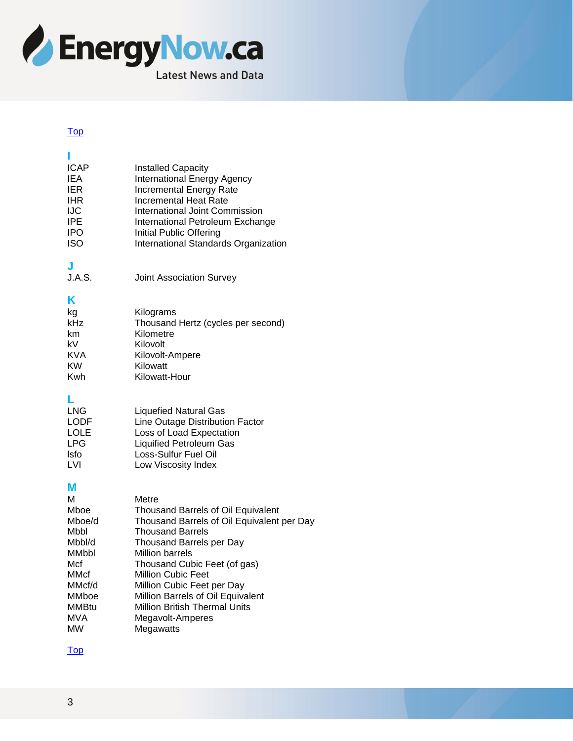

<span id="page-2-3"></span><span id="page-2-2"></span><span id="page-2-1"></span><span id="page-2-0"></span>

| ı<br><b>ICAP</b><br>IEA<br>IER<br><b>IHR</b><br>IJC<br>IPE<br><b>IPO</b><br><b>ISO</b>                      | <b>Installed Capacity</b><br><b>International Energy Agency</b><br>Incremental Energy Rate<br>Incremental Heat Rate<br><b>International Joint Commission</b><br>International Petroleum Exchange<br>Initial Public Offering<br>International Standards Organization                                                                                                                 |
|-------------------------------------------------------------------------------------------------------------|-------------------------------------------------------------------------------------------------------------------------------------------------------------------------------------------------------------------------------------------------------------------------------------------------------------------------------------------------------------------------------------|
| J<br>J.A.S.                                                                                                 | <b>Joint Association Survey</b>                                                                                                                                                                                                                                                                                                                                                     |
| κ<br>kg<br>kHz<br>km<br>kV.<br>KVA<br>KW<br>Kwh                                                             | Kilograms<br>Thousand Hertz (cycles per second)<br>Kilometre<br>Kilovolt<br>Kilovolt-Ampere<br>Kilowatt<br>Kilowatt-Hour                                                                                                                                                                                                                                                            |
| LNG<br>LODF<br>LOLE<br>LPG<br>Isfo<br>LVI                                                                   | <b>Liquefied Natural Gas</b><br>Line Outage Distribution Factor<br>Loss of Load Expectation<br><b>Liquified Petroleum Gas</b><br>Loss-Sulfur Fuel Oil<br>Low Viscosity Index                                                                                                                                                                                                        |
| м<br>м<br>Mboe<br>Mboe/d<br>Mbbl<br>Mbbl/d<br>MMbbl<br>Mcf<br>MMcf<br>MMcf/d<br>MMboe<br>MMBtu<br>MVA<br>МW | Metre<br>Thousand Barrels of Oil Equivalent<br>Thousand Barrels of Oil Equivalent per Day<br><b>Thousand Barrels</b><br>Thousand Barrels per Day<br><b>Million barrels</b><br>Thousand Cubic Feet (of gas)<br><b>Million Cubic Feet</b><br>Million Cubic Feet per Day<br>Million Barrels of Oil Equivalent<br><b>Million British Thermal Units</b><br>Megavolt-Amperes<br>Megawatts |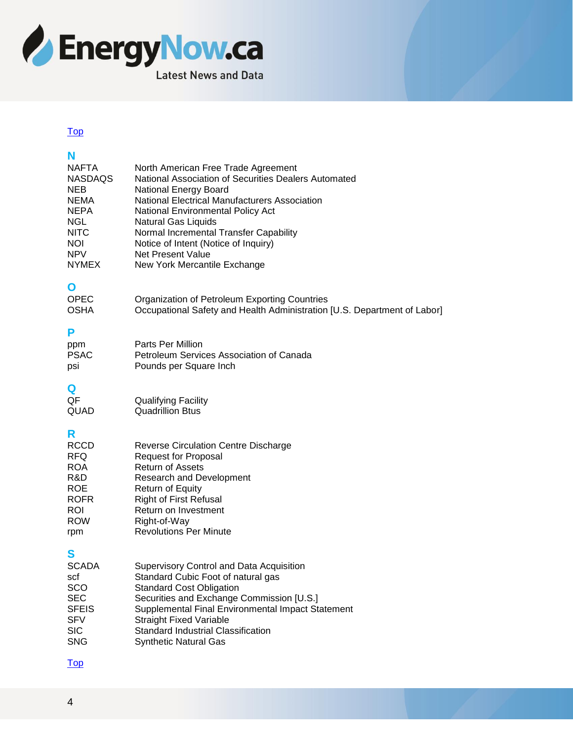

### <span id="page-3-0"></span>**N**

<span id="page-3-5"></span><span id="page-3-4"></span><span id="page-3-3"></span><span id="page-3-2"></span><span id="page-3-1"></span>

| . .<br><b>NAFTA</b><br><b>NASDAQS</b><br><b>NEB</b><br><b>NEMA</b><br><b>NEPA</b><br>NGL<br><b>NITC</b><br>NOI<br>NPV<br><b>NYMEX</b> | North American Free Trade Agreement<br>National Association of Securities Dealers Automated<br>National Energy Board<br><b>National Electrical Manufacturers Association</b><br>National Environmental Policy Act<br>Natural Gas Liquids<br>Normal Incremental Transfer Capability<br>Notice of Intent (Notice of Inquiry)<br><b>Net Present Value</b><br>New York Mercantile Exchange |
|---------------------------------------------------------------------------------------------------------------------------------------|----------------------------------------------------------------------------------------------------------------------------------------------------------------------------------------------------------------------------------------------------------------------------------------------------------------------------------------------------------------------------------------|
| O<br><b>OPEC</b><br><b>OSHA</b>                                                                                                       | Organization of Petroleum Exporting Countries<br>Occupational Safety and Health Administration [U.S. Department of Labor]                                                                                                                                                                                                                                                              |
| P<br>ppm<br><b>PSAC</b><br>psi                                                                                                        | Parts Per Million<br>Petroleum Services Association of Canada<br>Pounds per Square Inch                                                                                                                                                                                                                                                                                                |
| Q<br>QF<br>QUAD                                                                                                                       | <b>Qualifying Facility</b><br><b>Quadrillion Btus</b>                                                                                                                                                                                                                                                                                                                                  |
| R<br><b>RCCD</b><br><b>RFQ</b><br><b>ROA</b><br>R&D<br><b>ROE</b><br><b>ROFR</b><br>ROI<br><b>ROW</b><br>rpm                          | <b>Reverse Circulation Centre Discharge</b><br><b>Request for Proposal</b><br>Return of Assets<br><b>Research and Development</b><br>Return of Equity<br><b>Right of First Refusal</b><br>Return on Investment<br>Right-of-Way<br><b>Revolutions Per Minute</b>                                                                                                                        |
| S<br><b>SCADA</b><br>scf<br>SCO<br><b>SEC</b><br><b>SFEIS</b><br><b>SFV</b><br><b>SIC</b><br><b>SNG</b>                               | <b>Supervisory Control and Data Acquisition</b><br>Standard Cubic Foot of natural gas<br><b>Standard Cost Obligation</b><br>Securities and Exchange Commission [U.S.]<br>Supplemental Final Environmental Impact Statement<br><b>Straight Fixed Variable</b><br><b>Standard Industrial Classification</b><br><b>Synthetic Natural Gas</b>                                              |
| <u>Top</u>                                                                                                                            |                                                                                                                                                                                                                                                                                                                                                                                        |